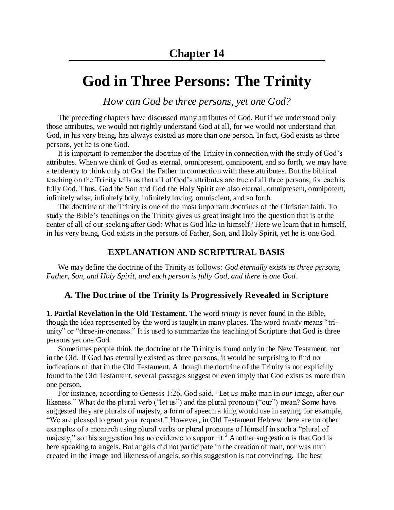# **God in Three Persons: The Trinity**

*How can God be three persons, yet one God?*

The preceding chapters have discussed many attributes of God. But if we understood only those attributes, we would not rightly understand God at all, for we would not understand that God, in his very being, has always existed as more than one person. In fact, God exists as three persons, yet he is one God.

It is important to remember the doctrine of the Trinity in connection with the study of God's attributes. When we think of God as eternal, omnipresent, omnipotent, and so forth, we may have a tendency to think only of God the Father in connection with these attributes. But the biblical teaching on the Trinity tells us that all of God's attributes are true of all three persons, for each is fully God. Thus, God the Son and God the Holy Spirit are also eternal, omnipresent, omnipotent, infinitely wise, infinitely holy, infinitely loving, omniscient, and so forth.

The doctrine of the Trinity is one of the most important doctrines of the Christian faith. To study the Bible's teachings on the Trinity gives us great insight into the question that is at the center of all of our seeking after God: What is God like in himself? Here we learn that in himself, in his very being, God exists in the persons of Father, Son, and Holy Spirit, yet he is one God.

## **EXPLANATION AND SCRIPTURAL BASIS**

We may define the doctrine of the Trinity as follows: *God eternally exists as three persons, Father, Son, and Holy Spirit, and each person is fully God, and there is one God*.

## **A. The Doctrine of the Trinity Is Progressively Revealed in Scripture**

**1. Partial Revelation in the Old Testament.** The word *trinity* is never found in the Bible, though the idea represented by the word is taught in many places. The word *trinity* means "triunity" or "three-in-oneness." It is used to summarize the teaching of Scripture that God is three persons yet one God.

Sometimes people think the doctrine of the Trinity is found only in the New Testament, not in the Old. If God has eternally existed as three persons, it would be surprising to find no indications of that in the Old Testament. Although the doctrine of the Trinity is not explicitly found in the Old Testament, several passages suggest or even imply that God exists as more than one person.

For instance, according to Genesis 1:26, God said, "Let *us* make man in *our* image, after *our* likeness." What do the plural verb ("let us") and the plural pronoun ("our") mean? Some have suggested they are plurals of majesty, a form of speech a king would use in saying, for example, "We are pleased to grant your request." However, in Old Testament Hebrew there are no other examples of a monarch using plural verbs or plural pronouns of himself in such a "plural of majesty," so this suggestion has no evidence to support it.<sup>2</sup> Another suggestion is that God is here speaking to angels. But angels did not participate in the creation of man, nor was man created in the image and likeness of angels, so this suggestion is not convincing. The best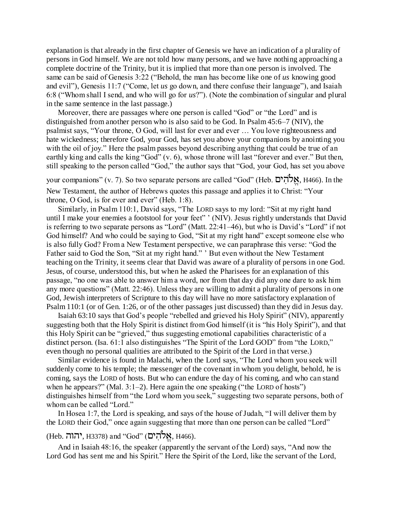explanation is that already in the first chapter of Genesis we have an indication of a plurality of persons in God himself. We are not told how many persons, and we have nothing approaching a complete doctrine of the Trinity, but it is implied that more than one person is involved. The same can be said of Genesis 3:22 ("Behold, the man has become like one of *us* knowing good and evil"), Genesis 11:7 ("Come, let *us* go down, and there confuse their language"), and Isaiah 6:8 ("Whom shall I send, and who will go for *us*?"). (Note the combination of singular and plural in the same sentence in the last passage.)

Moreover, there are passages where one person is called "God" or "the Lord" and is distinguished from another person who is also said to be God. In Psalm 45:6–7 (NIV), the psalmist says, "Your throne, O God, will last for ever and ever … You love righteousness and hate wickedness; therefore God, your God, has set you above your companions by anointing you with the oil of joy." Here the psalm passes beyond describing anything that could be true of an earthly king and calls the king "God" (v. 6), whose throne will last "forever and ever." But then, still speaking to the person called "God," the author says that "God, your God, has set you above

your companions" (v. 7). So two separate persons are called "God" (Heb. אֱלֹהִים, H466). In the New Testament, the author of Hebrews quotes this passage and applies it to Christ: "Your throne, O God, is for ever and ever" (Heb. 1:8).

Similarly, in Psalm 110:1, David says, "The LORD says to my lord: "Sit at my right hand until I make your enemies a footstool for your feet" ' (NIV). Jesus rightly understands that David is referring to two separate persons as "Lord" (Matt. 22:41–46), but who is David's "Lord" if not God himself? And who could be saying to God, "Sit at my right hand" except someone else who is also fully God? From a New Testament perspective, we can paraphrase this verse: "God the Father said to God the Son, "Sit at my right hand." ' But even without the New Testament teaching on the Trinity, it seems clear that David was aware of a plurality of persons in one God. Jesus, of course, understood this, but when he asked the Pharisees for an explanation of this passage, "no one was able to answer him a word, nor from that day did any one dare to ask him any more questions" (Matt. 22:46). Unless they are willing to admit a plurality of persons in one God, Jewish interpreters of Scripture to this day will have no more satisfactory explanation of Psalm 110:1 (or of Gen. 1:26, or of the other passages just discussed) than they did in Jesus day.

Isaiah 63:10 says that God's people "rebelled and grieved his Holy Spirit" (NIV), apparently suggesting both that the Holy Spirit is distinct from God himself (it is "his Holy Spirit"), and that this Holy Spirit can be "grieved," thus suggesting emotional capabilities characteristic of a distinct person. (Isa. 61:1 also distinguishes "The Spirit of the Lord GOD" from "the LORD," even though no personal qualities are attributed to the Spirit of the Lord in that verse.)

Similar evidence is found in Malachi, when the Lord says, "The Lord whom you seek will suddenly come to his temple; the messenger of the covenant in whom you delight, behold, he is coming, says the LORD of hosts. But who can endure the day of his coming, and who can stand when he appears?" (Mal.  $3:1-2$ ). Here again the one speaking ("the LORD of hosts") distinguishes himself from "the Lord whom you seek," suggesting two separate persons, both of whom can be called "Lord."

In Hosea 1:7, the Lord is speaking, and says of the house of Judah, "I will deliver them by the LORD their God," once again suggesting that more than one person can be called "Lord"

(Heb. יהוה, H3378) and "God" (אֱלֹהִים, H466).

And in Isaiah 48:16, the speaker (apparently the servant of the Lord) says, "And now the Lord God has sent me and his Spirit." Here the Spirit of the Lord, like the servant of the Lord,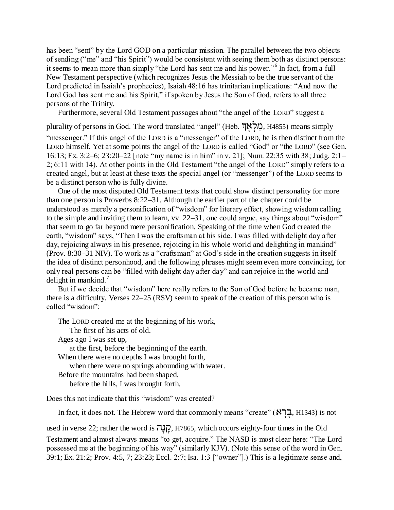has been "sent" by the Lord GOD on a particular mission. The parallel between the two objects of sending ("me" and "his Spirit") would be consistent with seeing them both as distinct persons: it seems to mean more than simply "the Lord has sent me and his power."<sup>6</sup> In fact, from a full New Testament perspective (which recognizes Jesus the Messiah to be the true servant of the Lord predicted in Isaiah's prophecies), Isaiah 48:16 has trinitarian implications: "And now the Lord God has sent me and his Spirit," if spoken by Jesus the Son of God, refers to all three persons of the Trinity.

Furthermore, several Old Testament passages about "the angel of the LORD" suggest a

plurality of persons in God. The word translated "angel" (Heb. ךְ ָא ְל ַמ, H4855) means simply

"messenger." If this angel of the LORD is a "messenger" of the LORD, he is then distinct from the LORD himself. Yet at some points the angel of the LORD is called "God" or "the LORD" (see Gen. 16:13; Ex. 3:2–6; 23:20–22 [note "my name is in him" in v. 21]; Num. 22:35 with 38; Judg. 2:1– 2; 6:11 with 14). At other points in the Old Testament "the angel of the LORD" simply refers to a created angel, but at least at these texts the special angel (or "messenger") of the LORD seems to be a distinct person who is fully divine.

One of the most disputed Old Testament texts that could show distinct personality for more than one person is Proverbs 8:22–31. Although the earlier part of the chapter could be understood as merely a personification of "wisdom" for literary effect, showing wisdom calling to the simple and inviting them to learn, vv. 22–31, one could argue, say things about "wisdom" that seem to go far beyond mere personification. Speaking of the time when God created the earth, "wisdom" says, "Then I was the craftsman at his side. I was filled with delight day after day, rejoicing always in his presence, rejoicing in his whole world and delighting in mankind" (Prov. 8:30–31 NIV). To work as a "craftsman" at God's side in the creation suggests in itself the idea of distinct personhood, and the following phrases might seem even more convincing, for only real persons can be "filled with delight day after day" and can rejoice in the world and delight in mankind.<sup>7</sup>

But if we decide that "wisdom" here really refers to the Son of God before he became man, there is a difficulty. Verses 22–25 (RSV) seem to speak of the creation of this person who is called "wisdom":

The LORD created me at the beginning of his work,

The first of his acts of old.

Ages ago I was set up,

at the first, before the beginning of the earth.

When there were no depths I was brought forth,

when there were no springs abounding with water.

Before the mountains had been shaped,

before the hills, I was brought forth.

Does this not indicate that this "wisdom" was created?

In fact, it does not. The Hebrew word that commonly means "create" (אֲבָרָא), H1343) is not

used in verse 22; rather the word is הֲנָה, H7865, which occurs eighty-four times in the Old

Testament and almost always means "to get, acquire." The NASB is most clear here: "The Lord possessed me at the beginning of his way" (similarly KJV). (Note this sense of the word in Gen. 39:1; Ex. 21:2; Prov. 4:5, 7; 23:23; Eccl. 2:7; Isa. 1:3 ["owner"].) This is a legitimate sense and,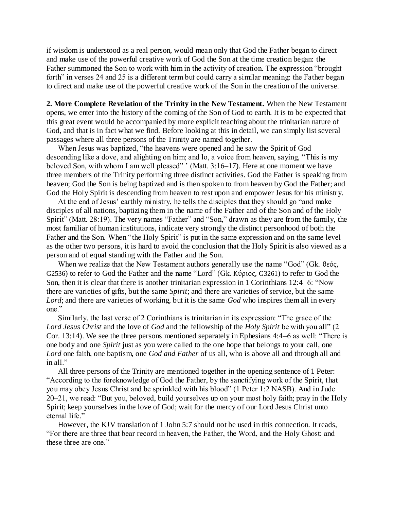if wisdom is understood as a real person, would mean only that God the Father began to direct and make use of the powerful creative work of God the Son at the time creation began: the Father summoned the Son to work with him in the activity of creation. The expression "brought forth" in verses 24 and 25 is a different term but could carry a similar meaning: the Father began to direct and make use of the powerful creative work of the Son in the creation of the universe.

**2. More Complete Revelation of the Trinity in the New Testament.** When the New Testament opens, we enter into the history of the coming of the Son of God to earth. It is to be expected that this great event would be accompanied by more explicit teaching about the trinitarian nature of God, and that is in fact what we find. Before looking at this in detail, we can simply list several passages where all three persons of the Trinity are named together.

When Jesus was baptized, "the heavens were opened and he saw the Spirit of God descending like a dove, and alighting on him; and lo, a voice from heaven, saying, "This is my beloved Son, with whom I am well pleased" ' (Matt. 3:16-17). Here at one moment we have three members of the Trinity performing three distinct activities. God the Father is speaking from heaven; God the Son is being baptized and is then spoken to from heaven by God the Father; and God the Holy Spirit is descending from heaven to rest upon and empower Jesus for his ministry.

At the end of Jesus' earthly ministry, he tells the disciples that they should go "and make disciples of all nations, baptizing them in the name of the Father and of the Son and of the Holy Spirit" (Matt. 28:19). The very names "Father" and "Son," drawn as they are from the family, the most familiar of human institutions, indicate very strongly the distinct personhood of both the Father and the Son. When "the Holy Spirit" is put in the same expression and on the same level as the other two persons, it is hard to avoid the conclusion that the Holy Spirit is also viewed as a person and of equal standing with the Father and the Son.

When we realize that the New Testament authors generally use the name "God" (Gk. θεός, G2536) to refer to God the Father and the name "Lord" (Gk. Κύριος, G3261) to refer to God the Son, then it is clear that there is another trinitarian expression in 1 Corinthians 12:4–6: "Now there are varieties of gifts, but the same *Spirit*; and there are varieties of service, but the same *Lord*; and there are varieties of working, but it is the same *God* who inspires them all in every one."

Similarly, the last verse of 2 Corinthians is trinitarian in its expression: "The grace of the *Lord Jesus Christ* and the love of *God* and the fellowship of the *Holy Spirit* be with you all" (2 Cor. 13:14). We see the three persons mentioned separately in Ephesians 4:4–6 as well: "There is one body and one *Spirit* just as you were called to the one hope that belongs to your call, one *Lord* one faith, one baptism, one *God and Father* of us all, who is above all and through all and in all"

All three persons of the Trinity are mentioned together in the opening sentence of 1 Peter: "According to the foreknowledge of God the Father, by the sanctifying work of the Spirit, that you may obey Jesus Christ and be sprinkled with his blood" (1 Peter 1:2 NASB). And in Jude 20–21, we read: "But you, beloved, build yourselves up on your most holy faith; pray in the Holy Spirit; keep yourselves in the love of God; wait for the mercy of our Lord Jesus Christ unto eternal life."

However, the KJV translation of 1 John 5:7 should not be used in this connection. It reads, "For there are three that bear record in heaven, the Father, the Word, and the Holy Ghost: and these three are one."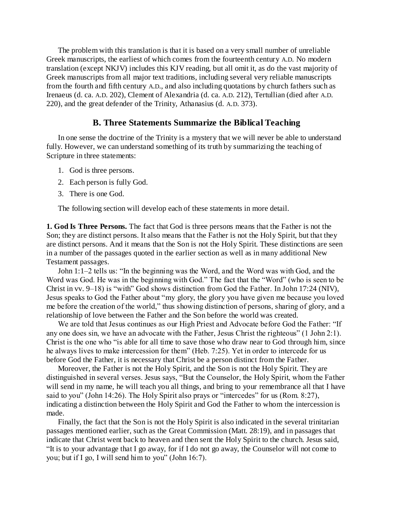The problem with this translation is that it is based on a very small number of unreliable Greek manuscripts, the earliest of which comes from the fourteenth century A.D. No modern translation (except NKJV) includes this KJV reading, but all omit it, as do the vast majority of Greek manuscripts from all major text traditions, including several very reliable manuscripts from the fourth and fifth century A.D., and also including quotations by church fathers such as Irenaeus (d. ca. A.D. 202), Clement of Alexandria (d. ca. A.D. 212), Tertullian (died after A.D. 220), and the great defender of the Trinity, Athanasius (d. A.D. 373).

#### **B. Three Statements Summarize the Biblical Teaching**

In one sense the doctrine of the Trinity is a mystery that we will never be able to understand fully. However, we can understand something of its truth by summarizing the teaching of Scripture in three statements:

- 1. God is three persons.
- 2. Each person is fully God.
- 3. There is one God.

The following section will develop each of these statements in more detail.

**1. God Is Three Persons.** The fact that God is three persons means that the Father is not the Son; they are distinct persons. It also means that the Father is not the Holy Spirit, but that they are distinct persons. And it means that the Son is not the Holy Spirit. These distinctions are seen in a number of the passages quoted in the earlier section as well as in many additional New Testament passages.

John 1:1–2 tells us: "In the beginning was the Word, and the Word was with God, and the Word was God. He was in the beginning with God." The fact that the "Word" (who is seen to be Christ in vv. 9–18) is "with" God shows distinction from God the Father. In John 17:24 (NIV), Jesus speaks to God the Father about "my glory, the glory you have given me because you loved me before the creation of the world," thus showing distinction of persons, sharing of glory, and a relationship of love between the Father and the Son before the world was created.

We are told that Jesus continues as our High Priest and Advocate before God the Father: "If any one does sin, we have an advocate with the Father, Jesus Christ the righteous" (1 John 2:1). Christ is the one who "is able for all time to save those who draw near to God through him, since he always lives to make intercession for them" (Heb. 7:25). Yet in order to intercede for us before God the Father, it is necessary that Christ be a person distinct from the Father.

Moreover, the Father is not the Holy Spirit, and the Son is not the Holy Spirit. They are distinguished in several verses. Jesus says, "But the Counselor, the Holy Spirit, whom the Father will send in my name, he will teach you all things, and bring to your remembrance all that I have said to you" (John 14:26). The Holy Spirit also prays or "intercedes" for us (Rom. 8:27), indicating a distinction between the Holy Spirit and God the Father to whom the intercession is made.

Finally, the fact that the Son is not the Holy Spirit is also indicated in the several trinitarian passages mentioned earlier, such as the Great Commission (Matt. 28:19), and in passages that indicate that Christ went back to heaven and then sent the Holy Spirit to the church. Jesus said, "It is to your advantage that I go away, for if I do not go away, the Counselor will not come to you; but if I go, I will send him to you" (John 16:7).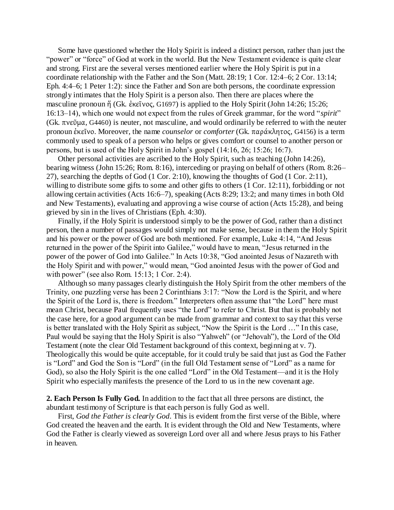Some have questioned whether the Holy Spirit is indeed a distinct person, rather than just the "power" or "force" of God at work in the world. But the New Testament evidence is quite clear and strong. First are the several verses mentioned earlier where the Holy Spirit is put in a coordinate relationship with the Father and the Son (Matt. 28:19; 1 Cor. 12:4–6; 2 Cor. 13:14; Eph. 4:4–6; 1 Peter 1:2): since the Father and Son are both persons, the coordinate expression strongly intimates that the Holy Spirit is a person also. Then there are places where the masculine pronoun ἥ (Gk. ἐκεῖνος, G1697) is applied to the Holy Spirit (John 14:26; 15:26; 16:13–14), which one would not expect from the rules of Greek grammar, for the word "*spirit*" (Gk. πνεῦμα, G4460) is neuter, not masculine, and would ordinarily be referred to with the neuter pronoun ἐκεῖνο. Moreover, the name *counselor* or *comforter* (Gk. παράκλητος, G4156) is a term commonly used to speak of a person who helps or gives comfort or counsel to another person or persons, but is used of the Holy Spirit in John's gospel (14:16, 26; 15:26; 16:7).

Other personal activities are ascribed to the Holy Spirit, such as teaching (John 14:26), bearing witness (John 15:26; Rom. 8:16), interceding or praying on behalf of others (Rom. 8:26– 27), searching the depths of God (1 Cor. 2:10), knowing the thoughts of God (1 Cor. 2:11), willing to distribute some gifts to some and other gifts to others (1 Cor. 12:11), forbidding or not allowing certain activities (Acts 16:6–7), speaking (Acts 8:29; 13:2; and many times in both Old and New Testaments), evaluating and approving a wise course of action (Acts 15:28), and being grieved by sin in the lives of Christians (Eph. 4:30).

Finally, if the Holy Spirit is understood simply to be the power of God, rather than a distinct person, then a number of passages would simply not make sense, because in them the Holy Spirit and his power or the power of God are both mentioned. For example, Luke 4:14, "And Jesus returned in the power of the Spirit into Galilee," would have to mean, "Jesus returned in the power of the power of God into Galilee." In Acts 10:38, "God anointed Jesus of Nazareth with the Holy Spirit and with power," would mean, "God anointed Jesus with the power of God and with power" (see also Rom. 15:13; 1 Cor. 2:4).

Although so many passages clearly distinguish the Holy Spirit from the other members of the Trinity, one puzzling verse has been 2 Corinthians 3:17: "Now the Lord is the Spirit, and where the Spirit of the Lord is, there is freedom." Interpreters often assume that "the Lord" here must mean Christ, because Paul frequently uses "the Lord" to refer to Christ. But that is probably not the case here, for a good argument can be made from grammar and context to say that this verse is better translated with the Holy Spirit as subject, "Now the Spirit is the Lord …" In this case, Paul would be saying that the Holy Spirit is also "Yahweh" (or "Jehovah"), the Lord of the Old Testament (note the clear Old Testament background of this context, beginning at v. 7). Theologically this would be quite acceptable, for it could truly be said that just as God the Father is "Lord" and God the Son is "Lord" (in the full Old Testament sense of "Lord" as a name for God), so also the Holy Spirit is the one called "Lord" in the Old Testament—and it is the Holy Spirit who especially manifests the presence of the Lord to us in the new covenant age.

**2. Each Person Is Fully God.** In addition to the fact that all three persons are distinct, the abundant testimony of Scripture is that each person is fully God as well.

First, *God the Father is clearly God*. This is evident from the first verse of the Bible, where God created the heaven and the earth. It is evident through the Old and New Testaments, where God the Father is clearly viewed as sovereign Lord over all and where Jesus prays to his Father in heaven.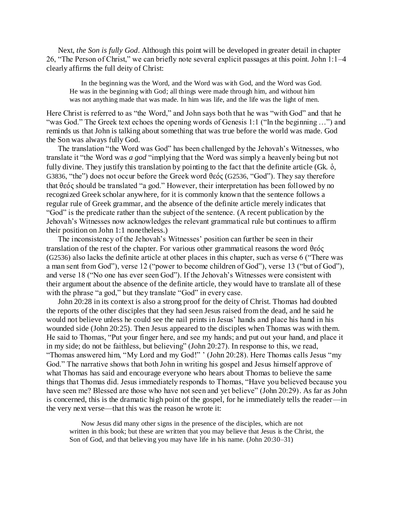Next, *the Son is fully God*. Although this point will be developed in greater detail in chapter 26, "The Person of Christ," we can briefly note several explicit passages at this point. John 1:1–4 clearly affirms the full deity of Christ:

In the beginning was the Word, and the Word was with God, and the Word was God. He was in the beginning with God; all things were made through him, and without him was not anything made that was made. In him was life, and the life was the light of men.

Here Christ is referred to as "the Word," and John says both that he was "with God" and that he "was God." The Greek text echoes the opening words of Genesis 1:1 ("In the beginning …") and reminds us that John is talking about something that was true before the world was made. God the Son was always fully God.

The translation "the Word was God" has been challenged by the Jehovah's Witnesses, who translate it "the Word was *a god* "implying that the Word was simply a heavenly being but not fully divine. They justify this translation by pointing to the fact that the definite article (Gk. ὁ, G3836, "the") does not occur before the Greek word θεός (G2536, "God"). They say therefore that θεός should be translated "a god." However, their interpretation has been followed by no recognized Greek scholar anywhere, for it is commonly known that the sentence follows a regular rule of Greek grammar, and the absence of the definite article merely indicates that "God" is the predicate rather than the subject of the sentence. (A recent publication by the Jehovah's Witnesses now acknowledges the relevant grammatical rule but continues to affirm their position on John 1:1 nonetheless.)

The inconsistency of the Jehovah's Witnesses' position can further be seen in their translation of the rest of the chapter. For various other grammatical reasons the word θεός (G2536) also lacks the definite article at other places in this chapter, such as verse 6 ("There was a man sent from God"), verse 12 ("power to become children of God"), verse 13 ("but of God"), and verse 18 ("No one has ever seen God"). If the Jehovah's Witnesses were consistent with their argument about the absence of the definite article, they would have to translate all of these with the phrase "a god," but they translate "God" in every case.

John 20:28 in its context is also a strong proof for the deity of Christ. Thomas had doubted the reports of the other disciples that they had seen Jesus raised from the dead, and he said he would not believe unless he could see the nail prints in Jesus' hands and place his hand in his wounded side (John 20:25). Then Jesus appeared to the disciples when Thomas was with them. He said to Thomas, "Put your finger here, and see my hands; and put out your hand, and place it in my side; do not be faithless, but believing" (John 20:27). In response to this, we read, "Thomas answered him, "My Lord and my God!" ' (John 20:28). Here Thomas calls Jesus "my God." The narrative shows that both John in writing his gospel and Jesus himself approve of what Thomas has said and encourage everyone who hears about Thomas to believe the same things that Thomas did. Jesus immediately responds to Thomas, "Have you believed because you have seen me? Blessed are those who have not seen and yet believe" (John 20:29). As far as John is concerned, this is the dramatic high point of the gospel, for he immediately tells the reader—in the very next verse—that this was the reason he wrote it:

Now Jesus did many other signs in the presence of the disciples, which are not written in this book; but these are written that you may believe that Jesus is the Christ, the Son of God, and that believing you may have life in his name. (John 20:30–31)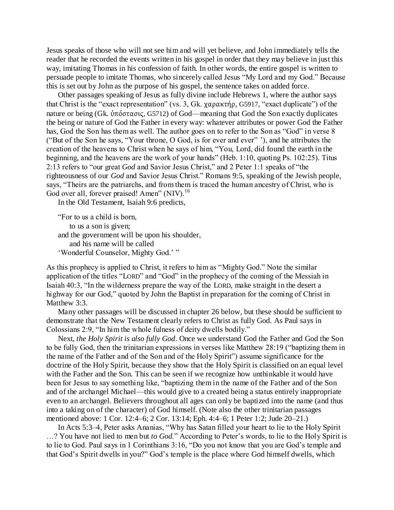Jesus speaks of those who will not see him and will yet believe, and John immediately tells the reader that he recorded the events written in his gospel in order that they may believe in just this way, imitating Thomas in his confession of faith. In other words, the entire gospel is written to persuade people to imitate Thomas, who sincerely called Jesus "My Lord and my God." Because this is set out by John as the purpose of his gospel, the sentence takes on added force.

Other passages speaking of Jesus as fully divine include Hebrews 1, where the author says that Christ is the "exact representation" (vs. 3, Gk. χαρακτήρ, G5917, "exact duplicate") of the nature or being (Gk. ὑπόστασις, G5712) of God—meaning that God the Son exactly duplicates the being or nature of God the Father in every way: whatever attributes or power God the Father has, God the Son has them as well. The author goes on to refer to the Son as "God" in verse 8 ("But of the Son he says, "Your throne, O God, is for ever and ever" '), and he attributes the creation of the heavens to Christ when he says of him, "You, Lord, did found the earth in the beginning, and the heavens are the work of your hands" (Heb. 1:10, quoting Ps. 102:25). Titus 2:13 refers to "our great *God* and Savior Jesus Christ," and 2 Peter 1:1 speaks of "the righteousness of our *God* and Savior Jesus Christ." Romans 9:5, speaking of the Jewish people, says, "Theirs are the patriarchs, and from them is traced the human ancestry of Christ, who is God over all, forever praised! Amen" (NIV).<sup>16</sup>

In the Old Testament, Isaiah 9:6 predicts,

"For to us a child is born, to us a son is given; and the government will be upon his shoulder, and his name will be called 'Wonderful Counselor, Mighty God.' "

As this prophecy is applied to Christ, it refers to him as "Mighty God." Note the similar application of the titles "LORD" and "God" in the prophecy of the coming of the Messiah in Isaiah 40:3, "In the wilderness prepare the way of the LORD, make straight in the desert a highway for our God," quoted by John the Baptist in preparation for the coming of Christ in Matthew 3:3.

Many other passages will be discussed in chapter 26 below, but these should be sufficient to demonstrate that the New Testament clearly refers to Christ as fully God. As Paul says in Colossians 2:9, "In him the whole fulness of deity dwells bodily."

Next, *the Holy Spirit is also fully God*. Once we understand God the Father and God the Son to be fully God, then the trinitarian expressions in verses like Matthew 28:19 ("baptizing them in the name of the Father and of the Son and of the Holy Spirit") assume significance for the doctrine of the Holy Spirit, because they show that the Holy Spirit is classified on an equal level with the Father and the Son. This can be seen if we recognize how unthinkable it would have been for Jesus to say something like, "baptizing them in the name of the Father and of the Son and of the archangel Michael—this would give to a created being a status entirely inappropriate even to an archangel. Believers throughout all ages can only be baptized into the name (and thus into a taking on of the character) of God himself. (Note also the other trinitarian passages mentioned above: 1 Cor. 12:4–6; 2 Cor. 13:14; Eph. 4:4–6; 1 Peter 1:2; Jude 20–21.)

In Acts 5:3–4, Peter asks Ananias, "Why has Satan filled your heart to lie to the Holy Spirit …? You have not lied to men but *to God.*" According to Peter's words, to lie to the Holy Spirit is to lie to God. Paul says in 1 Corinthians 3:16, "Do you not know that you are God's temple and that God's Spirit dwells in you?" God's temple is the place where God himself dwells, which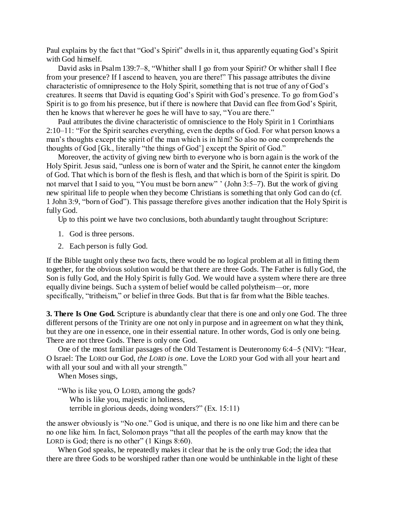Paul explains by the fact that "God's Spirit" dwells in it, thus apparently equating God's Spirit with God himself.

David asks in Psalm 139:7–8, "Whither shall I go from your Spirit? Or whither shall I flee from your presence? If I ascend to heaven, you are there!" This passage attributes the divine characteristic of omnipresence to the Holy Spirit, something that is not true of any of God's creatures. It seems that David is equating God's Spirit with God's presence. To go from God's Spirit is to go from his presence, but if there is nowhere that David can flee from God's Spirit, then he knows that wherever he goes he will have to say, "You are there."

Paul attributes the divine characteristic of omniscience to the Holy Spirit in 1 Corinthians 2:10–11: "For the Spirit searches everything, even the depths of God. For what person knows a man's thoughts except the spirit of the man which is in him? So also no one comprehends the thoughts of God [Gk., literally "the things of God'] except the Spirit of God."

Moreover, the activity of giving new birth to everyone who is born again is the work of the Holy Spirit. Jesus said, "unless one is born of water and the Spirit, he cannot enter the kingdom of God. That which is born of the flesh is flesh, and that which is born of the Spirit is spirit. Do not marvel that I said to you, "You must be born anew" ' (John 3:5–7). But the work of giving new spiritual life to people when they become Christians is something that only God can do (cf. 1 John 3:9, "born of God"). This passage therefore gives another indication that the Holy Spirit is fully God.

Up to this point we have two conclusions, both abundantly taught throughout Scripture:

- 1. God is three persons.
- 2. Each person is fully God.

If the Bible taught only these two facts, there would be no logical problem at all in fitting them together, for the obvious solution would be that there are three Gods. The Father is fully God, the Son is fully God, and the Holy Spirit is fully God. We would have a system where there are three equally divine beings. Such a system of belief would be called polytheism—or, more specifically, "tritheism," or belief in three Gods. But that is far from what the Bible teaches.

**3. There Is One God.** Scripture is abundantly clear that there is one and only one God. The three different persons of the Trinity are one not only in purpose and in agreement on what they think, but they are one in essence, one in their essential nature. In other words, God is only one being. There are not three Gods. There is only one God.

One of the most familiar passages of the Old Testament is Deuteronomy 6:4–5 (NIV): "Hear, O Israel: The LORD our God, *the LORD is one*. Love the LORD your God with all your heart and with all your soul and with all your strength."

When Moses sings,

"Who is like you, O LORD, among the gods? Who is like you, majestic in holiness, terrible in glorious deeds, doing wonders?" (Ex. 15:11)

the answer obviously is "No one." God is unique, and there is no one like him and there can be no one like him. In fact, Solomon prays "that all the peoples of the earth may know that the LORD is God; there is no other" (1 Kings 8:60).

When God speaks, he repeatedly makes it clear that he is the only true God; the idea that there are three Gods to be worshiped rather than one would be unthinkable in the light of these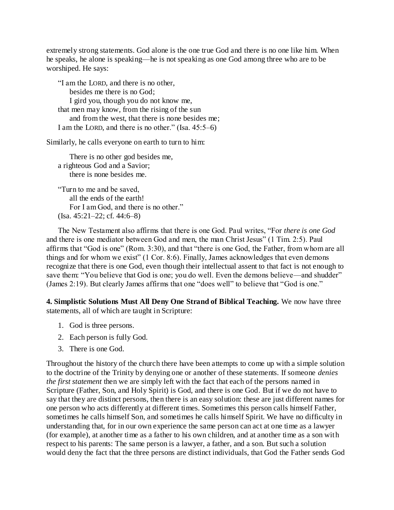extremely strong statements. God alone is the one true God and there is no one like him. When he speaks, he alone is speaking—he is not speaking as one God among three who are to be worshiped. He says:

"I am the LORD, and there is no other, besides me there is no God; I gird you, though you do not know me, that men may know, from the rising of the sun and from the west, that there is none besides me; I am the LORD, and there is no other." (Isa. 45:5–6)

Similarly, he calls everyone on earth to turn to him:

There is no other god besides me, a righteous God and a Savior; there is none besides me.

"Turn to me and be saved, all the ends of the earth! For I am God, and there is no other." (Isa. 45:21–22; cf. 44:6–8)

The New Testament also affirms that there is one God. Paul writes, "For *there is one God* and there is one mediator between God and men, the man Christ Jesus" (1 Tim. 2:5). Paul affirms that "God is one" (Rom. 3:30), and that "there is one God, the Father, from whom are all things and for whom we exist" (1 Cor. 8:6). Finally, James acknowledges that even demons recognize that there is one God, even though their intellectual assent to that fact is not enough to save them: "You believe that God is one; you do well. Even the demons believe—and shudder" (James 2:19). But clearly James affirms that one "does well" to believe that "God is one."

**4. Simplistic Solutions Must All Deny One Strand of Biblical Teaching.** We now have three statements, all of which are taught in Scripture:

- 1. God is three persons.
- 2. Each person is fully God.
- 3. There is one God.

Throughout the history of the church there have been attempts to come up with a simple solution to the doctrine of the Trinity by denying one or another of these statements. If someone *denies the first statement* then we are simply left with the fact that each of the persons named in Scripture (Father, Son, and Holy Spirit) is God, and there is one God. But if we do not have to say that they are distinct persons, then there is an easy solution: these are just different names for one person who acts differently at different times. Sometimes this person calls himself Father, sometimes he calls himself Son, and sometimes he calls himself Spirit. We have no difficulty in understanding that, for in our own experience the same person can act at one time as a lawyer (for example), at another time as a father to his own children, and at another time as a son with respect to his parents: The same person is a lawyer, a father, and a son. But such a solution would deny the fact that the three persons are distinct individuals, that God the Father sends God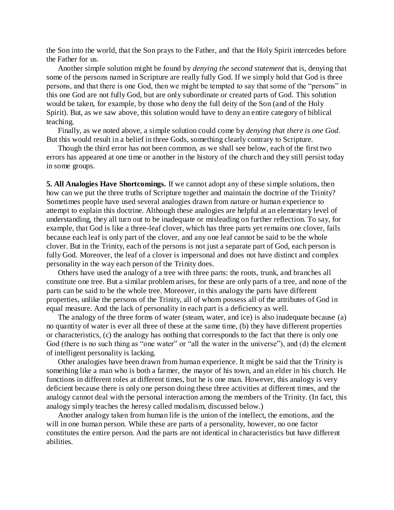the Son into the world, that the Son prays to the Father, and that the Holy Spirit intercedes before the Father for us.

Another simple solution might be found by *denying the second statement* that is, denying that some of the persons named in Scripture are really fully God. If we simply hold that God is three persons, and that there is one God, then we might be tempted to say that some of the "persons" in this one God are not fully God, but are only subordinate or created parts of God. This solution would be taken, for example, by those who deny the full deity of the Son (and of the Holy Spirit). But, as we saw above, this solution would have to deny an entire category of biblical teaching.

Finally, as we noted above, a simple solution could come by *denying that there is one God*. But this would result in a belief in three Gods, something clearly contrary to Scripture.

Though the third error has not been common, as we shall see below, each of the first two errors has appeared at one time or another in the history of the church and they still persist today in some groups.

**5. All Analogies Have Shortcomings.** If we cannot adopt any of these simple solutions, then how can we put the three truths of Scripture together and maintain the doctrine of the Trinity? Sometimes people have used several analogies drawn from nature or human experience to attempt to explain this doctrine. Although these analogies are helpful at an elementary level of understanding, they all turn out to be inadequate or misleading on further reflection. To say, for example, that God is like a three-leaf clover, which has three parts yet remains one clover, fails because each leaf is only part of the clover, and any one leaf cannot be said to be the whole clover. But in the Trinity, each of the persons is not just a separate part of God, each person is fully God. Moreover, the leaf of a clover is impersonal and does not have distinct and complex personality in the way each person of the Trinity does.

Others have used the analogy of a tree with three parts: the roots, trunk, and branches all constitute one tree. But a similar problem arises, for these are only parts of a tree, and none of the parts can be said to be the whole tree. Moreover, in this analogy the parts have different properties, unlike the persons of the Trinity, all of whom possess all of the attributes of God in equal measure. And the lack of personality in each part is a deficiency as well.

The analogy of the three forms of water (steam, water, and ice) is also inadequate because (a) no quantity of water is ever all three of these at the same time, (b) they have different properties or characteristics, (c) the analogy has nothing that corresponds to the fact that there is only one God (there is no such thing as "one water" or "all the water in the universe"), and (d) the element of intelligent personality is lacking.

Other analogies have been drawn from human experience. It might be said that the Trinity is something like a man who is both a farmer, the mayor of his town, and an elder in his church. He functions in different roles at different times, but he is one man. However, this analogy is very deficient because there is only one person doing these three activities at different times, and the analogy cannot deal with the personal interaction among the members of the Trinity. (In fact, this analogy simply teaches the heresy called modalism, discussed below.)

Another analogy taken from human life is the union of the intellect, the emotions, and the will in one human person. While these are parts of a personality, however, no one factor constitutes the entire person. And the parts are not identical in characteristics but have different abilities.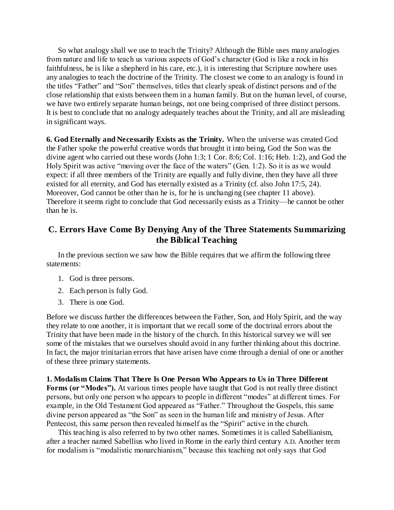So what analogy shall we use to teach the Trinity? Although the Bible uses many analogies from nature and life to teach us various aspects of God's character (God is like a rock in his faithfulness, he is like a shepherd in his care, etc.), it is interesting that Scripture nowhere uses any analogies to teach the doctrine of the Trinity. The closest we come to an analogy is found in the titles "Father" and "Son" themselves, titles that clearly speak of distinct persons and of the close relationship that exists between them in a human family. But on the human level, of course, we have two entirely separate human beings, not one being comprised of three distinct persons. It is best to conclude that no analogy adequately teaches about the Trinity, and all are misleading in significant ways.

**6. God Eternally and Necessarily Exists as the Trinity.** When the universe was created God the Father spoke the powerful creative words that brought it into being, God the Son was the divine agent who carried out these words (John 1:3; 1 Cor. 8:6; Col. 1:16; Heb. 1:2), and God the Holy Spirit was active "moving over the face of the waters" (Gen. 1:2). So it is as we would expect: if all three members of the Trinity are equally and fully divine, then they have all three existed for all eternity, and God has eternally existed as a Trinity (cf. also John 17:5, 24). Moreover, God cannot be other than he is, for he is unchanging (see chapter 11 above). Therefore it seems right to conclude that God necessarily exists as a Trinity—he cannot be other than he is.

# **C. Errors Have Come By Denying Any of the Three Statements Summarizing the Biblical Teaching**

In the previous section we saw how the Bible requires that we affirm the following three statements:

- 1. God is three persons.
- 2. Each person is fully God.
- 3. There is one God.

Before we discuss further the differences between the Father, Son, and Holy Spirit, and the way they relate to one another, it is important that we recall some of the doctrinal errors about the Trinity that have been made in the history of the church. In this historical survey we will see some of the mistakes that we ourselves should avoid in any further thinking about this doctrine. In fact, the major trinitarian errors that have arisen have come through a denial of one or another of these three primary statements.

**1. Modalism Claims That There Is One Person Who Appears to Us in Three Different Forms (or "Modes").** At various times people have taught that God is not really three distinct persons, but only one person who appears to people in different "modes" at different times. For example, in the Old Testament God appeared as "Father." Throughout the Gospels, this same divine person appeared as "the Son" as seen in the human life and ministry of Jesus. After Pentecost, this same person then revealed himself as the "Spirit" active in the church.

This teaching is also referred to by two other names. Sometimes it is called Sabellianism, after a teacher named Sabellius who lived in Rome in the early third century A.D. Another term for modalism is "modalistic monarchianism," because this teaching not only says that God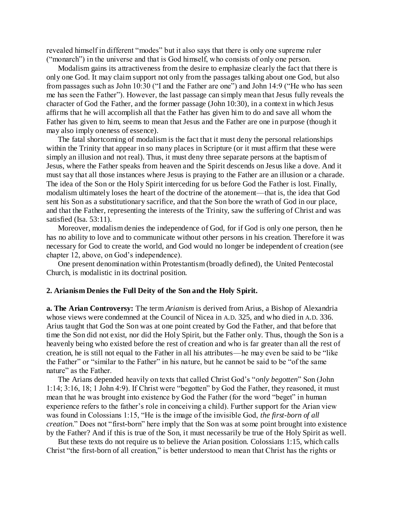revealed himself in different "modes" but it also says that there is only one supreme ruler ("monarch") in the universe and that is God himself, who consists of only one person.

Modalism gains its attractiveness from the desire to emphasize clearly the fact that there is only one God. It may claim support not only from the passages talking about one God, but also from passages such as John 10:30 ("I and the Father are one") and John 14:9 ("He who has seen me has seen the Father"). However, the last passage can simply mean that Jesus fully reveals the character of God the Father, and the former passage (John 10:30), in a context in which Jesus affirms that he will accomplish all that the Father has given him to do and save all whom the Father has given to him, seems to mean that Jesus and the Father are one in purpose (though it may also imply oneness of essence).

The fatal shortcoming of modalism is the fact that it must deny the personal relationships within the Trinity that appear in so many places in Scripture (or it must affirm that these were simply an illusion and not real). Thus, it must deny three separate persons at the baptism of Jesus, where the Father speaks from heaven and the Spirit descends on Jesus like a dove. And it must say that all those instances where Jesus is praying to the Father are an illusion or a charade. The idea of the Son or the Holy Spirit interceding for us before God the Father is lost. Finally, modalism ultimately loses the heart of the doctrine of the atonement—that is, the idea that God sent his Son as a substitutionary sacrifice, and that the Son bore the wrath of God in our place, and that the Father, representing the interests of the Trinity, saw the suffering of Christ and was satisfied (Isa. 53:11).

Moreover, modalism denies the independence of God, for if God is only one person, then he has no ability to love and to communicate without other persons in his creation. Therefore it was necessary for God to create the world, and God would no longer be independent of creation (see chapter 12, above, on God's independence).

One present denomination within Protestantism (broadly defined), the United Pentecostal Church, is modalistic in its doctrinal position.

#### **2. Arianism Denies the Full Deity of the Son and the Holy Spirit.**

**a. The Arian Controversy:** The term *Arianism* is derived from Arius, a Bishop of Alexandria whose views were condemned at the Council of Nicea in A.D. 325, and who died in A.D. 336. Arius taught that God the Son was at one point created by God the Father, and that before that time the Son did not exist, nor did the Holy Spirit, but the Father only. Thus, though the Son is a heavenly being who existed before the rest of creation and who is far greater than all the rest of creation, he is still not equal to the Father in all his attributes—he may even be said to be "like the Father" or "similar to the Father" in his nature, but he cannot be said to be "of the same nature" as the Father.

The Arians depended heavily on texts that called Christ God's "*only begotten*" Son (John 1:14; 3:16, 18; 1 John 4:9). If Christ were "begotten" by God the Father, they reasoned, it must mean that he was brought into existence by God the Father (for the word "beget" in human experience refers to the father's role in conceiving a child). Further support for the Arian view was found in Colossians 1:15, "He is the image of the invisible God, *the first-born of all creation.*" Does not "first-born" here imply that the Son was at some point brought into existence by the Father? And if this is true of the Son, it must necessarily be true of the Holy Spirit as well.

But these texts do not require us to believe the Arian position. Colossians 1:15, which calls Christ "the first-born of all creation," is better understood to mean that Christ has the rights or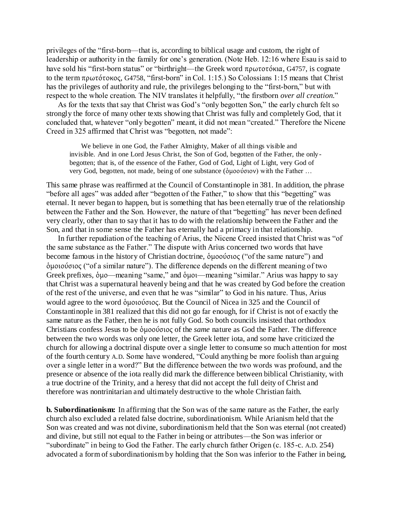privileges of the "first-born—that is, according to biblical usage and custom, the right of leadership or authority in the family for one's generation. (Note Heb. 12:16 where Esau is said to have sold his "first-born status" or "birthright—the Greek word πρωτοτόκια, G4757, is cognate to the term πρωτότοκος, G4758, "first-born" in Col. 1:15.) So Colossians 1:15 means that Christ has the privileges of authority and rule, the privileges belonging to the "first-born," but with respect to the whole creation. The NIV translates it helpfully, "the firstborn *over all creation.*"

As for the texts that say that Christ was God's "only begotten Son," the early church felt so strongly the force of many other texts showing that Christ was fully and completely God, that it concluded that, whatever "only begotten" meant, it did not mean "created." Therefore the Nicene Creed in 325 affirmed that Christ was "begotten, not made":

We believe in one God, the Father Almighty, Maker of all things visible and invisible. And in one Lord Jesus Christ, the Son of God, begotten of the Father, the onlybegotten; that is, of the essence of the Father, God of God, Light of Light, very God of very God, begotten, not made, being of one substance (ὁμοούσιον) with the Father …

This same phrase was reaffirmed at the Council of Constantinople in 381. In addition, the phrase "before all ages" was added after "begotten of the Father," to show that this "begetting" was eternal. It never began to happen, but is something that has been eternally true of the relationship between the Father and the Son. However, the nature of that "begetting" has never been defined very clearly, other than to say that it has to do with the relationship between the Father and the Son, and that in some sense the Father has eternally had a primacy in that relationship.

In further repudiation of the teaching of Arius, the Nicene Creed insisted that Christ was "of the same substance as the Father." The dispute with Arius concerned two words that have become famous in the history of Christian doctrine, ὁμοούσιος ("of the same nature") and ὁμοιούσιος ("of a similar nature"). The difference depends on the different meaning of two Greek prefixes, ὁμο—meaning "same," and ὁμοι—meaning "similar." Arius was happy to say that Christ was a supernatural heavenly being and that he was created by God before the creation of the rest of the universe, and even that he was "similar" to God in his nature. Thus, Arius would agree to the word ὁμοιούσιος. But the Council of Nicea in 325 and the Council of Constantinople in 381 realized that this did not go far enough, for if Christ is not of exactly the same nature as the Father, then he is not fully God. So both councils insisted that orthodox Christians confess Jesus to be ὁμοούσιος of the *same* nature as God the Father. The difference between the two words was only one letter, the Greek letter iota, and some have criticized the church for allowing a doctrinal dispute over a single letter to consume so much attention for most of the fourth century A.D. Some have wondered, "Could anything be more foolish than arguing over a single letter in a word?" But the difference between the two words was profound, and the presence or absence of the iota really did mark the difference between biblical Christianity, with a true doctrine of the Trinity, and a heresy that did not accept the full deity of Christ and therefore was nontrinitarian and ultimately destructive to the whole Christian faith.

**b. Subordinationism:** In affirming that the Son was of the same nature as the Father, the early church also excluded a related false doctrine, subordinationism. While Arianism held that the Son was created and was not divine, subordinationism held that the Son was eternal (not created) and divine, but still not equal to the Father in being or attributes—the Son was inferior or "subordinate" in being to God the Father. The early church father Origen (c. 185-c. A.D. 254) advocated a form of subordinationism by holding that the Son was inferior to the Father in being,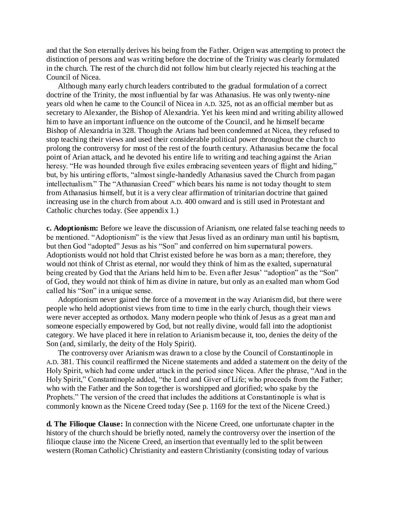and that the Son eternally derives his being from the Father. Origen was attempting to protect the distinction of persons and was writing before the doctrine of the Trinity was clearly formulated in the church. The rest of the church did not follow him but clearly rejected his teaching at the Council of Nicea.

Although many early church leaders contributed to the gradual formulation of a correct doctrine of the Trinity, the most influential by far was Athanasius. He was only twenty-nine years old when he came to the Council of Nicea in A.D. 325, not as an official member but as secretary to Alexander, the Bishop of Alexandria. Yet his keen mind and writing ability allowed him to have an important influence on the outcome of the Council, and he himself became Bishop of Alexandria in 328. Though the Arians had been condemned at Nicea, they refused to stop teaching their views and used their considerable political power throughout the church to prolong the controversy for most of the rest of the fourth century. Athanasius became the focal point of Arian attack, and he devoted his entire life to writing and teaching against the Arian heresy. "He was hounded through five exiles embracing seventeen years of flight and hiding," but, by his untiring efforts, "almost single-handedly Athanasius saved the Church from pagan intellectualism." The "Athanasian Creed" which bears his name is not today thought to stem from Athanasius himself, but it is a very clear affirmation of trinitarian doctrine that gained increasing use in the church from about A.D. 400 onward and is still used in Protestant and Catholic churches today. (See appendix 1.)

**c. Adoptionism:** Before we leave the discussion of Arianism, one related false teaching needs to be mentioned. "Adoptionism" is the view that Jesus lived as an ordinary man until his baptism, but then God "adopted" Jesus as his "Son" and conferred on him supernatural powers. Adoptionists would not hold that Christ existed before he was born as a man; therefore, they would not think of Christ as eternal, nor would they think of him as the exalted, supernatural being created by God that the Arians held him to be. Even after Jesus' "adoption" as the "Son" of God, they would not think of him as divine in nature, but only as an exalted man whom God called his "Son" in a unique sense.

Adoptionism never gained the force of a movement in the way Arianism did, but there were people who held adoptionist views from time to time in the early church, though their views were never accepted as orthodox. Many modern people who think of Jesus as a great man and someone especially empowered by God, but not really divine, would fall into the adoptionist category. We have placed it here in relation to Arianism because it, too, denies the deity of the Son (and, similarly, the deity of the Holy Spirit).

The controversy over Arianism was drawn to a close by the Council of Constantinople in A.D. 381. This council reaffirmed the Nicene statements and added a statement on the deity of the Holy Spirit, which had come under attack in the period since Nicea. After the phrase, "And in the Holy Spirit," Constantinople added, "the Lord and Giver of Life; who proceeds from the Father; who with the Father and the Son together is worshipped and glorified; who spake by the Prophets." The version of the creed that includes the additions at Constantinople is what is commonly known as the Nicene Creed today (See p. 1169 for the text of the Nicene Creed.)

**d. The Filioque Clause:** In connection with the Nicene Creed, one unfortunate chapter in the history of the church should be briefly noted, namely the controversy over the insertion of the filioque clause into the Nicene Creed, an insertion that eventually led to the split between western (Roman Catholic) Christianity and eastern Christianity (consisting today of various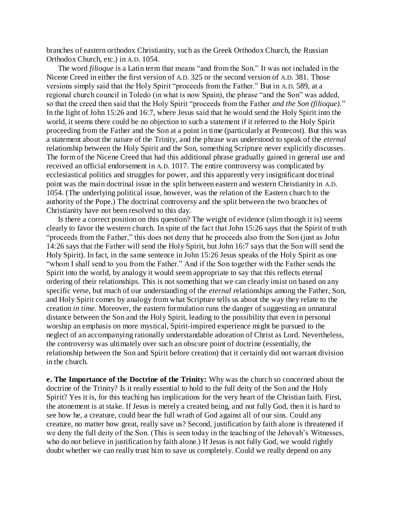branches of eastern orthodox Christianity, such as the Greek Orthodox Church, the Russian Orthodox Church, etc.) in A.D. 1054.

The word *filioque* is a Latin term that means "and from the Son." It was not included in the Nicene Creed in either the first version of A.D. 325 or the second version of A.D. 381. Those versions simply said that the Holy Spirit "proceeds from the Father." But in A.D. 589, at a regional church council in Toledo (in what is now Spain), the phrase "and the Son" was added, so that the creed then said that the Holy Spirit "proceeds from the Father *and the Son (filioque).*" In the light of John 15:26 and 16:7, where Jesus said that he would send the Holy Spirit into the world, it seems there could be no objection to such a statement if it referred to the Holy Spirit proceeding from the Father and the Son at a point in time (particularly at Pentecost). But this was a statement about the nature of the Trinity, and the phrase was understood to speak of the *eternal* relationship between the Holy Spirit and the Son, something Scripture never explicitly discusses. The form of the Nicene Creed that had this additional phrase gradually gained in general use and received an official endorsement in A.D. 1017. The entire controversy was complicated by ecclesiastical politics and struggles for power, and this apparently very insignificant doctrinal point was the main doctrinal issue in the split between eastern and western Christianity in A.D. 1054. (The underlying political issue, however, was the relation of the Eastern church to the authority of the Pope.) The doctrinal controversy and the split between the two branches of Christianity have not been resolved to this day.

Is there a correct position on this question? The weight of evidence (slim though it is) seems clearly to favor the western church. In spite of the fact that John 15:26 says that the Spirit of truth "proceeds from the Father," this does not deny that he proceeds also from the Son (just as John 14:26 says that the Father will send the Holy Spirit, but John 16:7 says that the Son will send the Holy Spirit). In fact, in the same sentence in John 15:26 Jesus speaks of the Holy Spirit as one "whom I shall send to you from the Father." And if the Son together with the Father sends the Spirit into the world, by analogy it would seem appropriate to say that this reflects eternal ordering of their relationships. This is not something that we can clearly insist on based on any specific verse, but much of our understanding of the *eternal* relationships among the Father, Son, and Holy Spirit comes by analogy from what Scripture tells us about the way they relate to the creation *in time*. Moreover, the eastern formulation runs the danger of suggesting an unnatural distance between the Son and the Holy Spirit, leading to the possibility that even in personal worship an emphasis on more mystical, Spirit-inspired experience might be pursued to the neglect of an accompanying rationally understandable adoration of Christ as Lord. Nevertheless, the controversy was ultimately over such an obscure point of doctrine (essentially, the relationship between the Son and Spirit before creation) that it certainly did not warrant division in the church.

**e. The Importance of the Doctrine of the Trinity:** Why was the church so concerned about the doctrine of the Trinity? Is it really essential to hold to the full deity of the Son and the Holy Spirit? Yes it is, for this teaching has implications for the very heart of the Christian faith. First, the atonement is at stake. If Jesus is merely a created being, and not fully God, then it is hard to see how he, a creature, could bear the full wrath of God against all of our sins. Could any creature, no matter how great, really save us? Second, justification by faith alone is threatened if we deny the full deity of the Son. (This is seen today in the teaching of the Jehovah's Witnesses, who do not believe in justification by faith alone.) If Jesus is not fully God, we would rightly doubt whether we can really trust him to save us completely. Could we really depend on any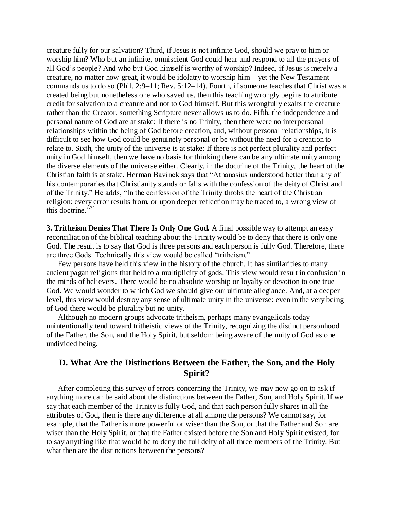creature fully for our salvation? Third, if Jesus is not infinite God, should we pray to him or worship him? Who but an infinite, omniscient God could hear and respond to all the prayers of all God's people? And who but God himself is worthy of worship? Indeed, if Jesus is merely a creature, no matter how great, it would be idolatry to worship him—yet the New Testament commands us to do so (Phil. 2:9–11; Rev. 5:12–14). Fourth, if someone teaches that Christ was a created being but nonetheless one who saved us, then this teaching wrongly begins to attribute credit for salvation to a creature and not to God himself. But this wrongfully exalts the creature rather than the Creator, something Scripture never allows us to do. Fifth, the independence and personal nature of God are at stake: If there is no Trinity, then there were no interpersonal relationships within the being of God before creation, and, without personal relationships, it is difficult to see how God could be genuinely personal or be without the need for a creation to relate to. Sixth, the unity of the universe is at stake: If there is not perfect plurality and perfect unity in God himself, then we have no basis for thinking there can be any ultimate unity among the diverse elements of the universe either. Clearly, in the doctrine of the Trinity, the heart of the Christian faith is at stake. Herman Bavinck says that "Athanasius understood better than any of his contemporaries that Christianity stands or falls with the confession of the deity of Christ and of the Trinity." He adds, "In the confession of the Trinity throbs the heart of the Christian religion: every error results from, or upon deeper reflection may be traced to, a wrong view of this doctrine." $31$ 

**3. Tritheism Denies That There Is Only One God.** A final possible way to attempt an easy reconciliation of the biblical teaching about the Trinity would be to deny that there is only one God. The result is to say that God is three persons and each person is fully God. Therefore, there are three Gods. Technically this view would be called "tritheism."

Few persons have held this view in the history of the church. It has similarities to many ancient pagan religions that held to a multiplicity of gods. This view would result in confusion in the minds of believers. There would be no absolute worship or loyalty or devotion to one true God. We would wonder to which God we should give our ultimate allegiance. And, at a deeper level, this view would destroy any sense of ultimate unity in the universe: even in the very being of God there would be plurality but no unity.

Although no modern groups advocate tritheism, perhaps many evangelicals today unintentionally tend toward tritheistic views of the Trinity, recognizing the distinct personhood of the Father, the Son, and the Holy Spirit, but seldom being aware of the unity of God as one undivided being.

# **D. What Are the Distinctions Between the Father, the Son, and the Holy Spirit?**

After completing this survey of errors concerning the Trinity, we may now go on to ask if anything more can be said about the distinctions between the Father, Son, and Holy Spirit. If we say that each member of the Trinity is fully God, and that each person fully shares in all the attributes of God, then is there any difference at all among the persons? We cannot say, for example, that the Father is more powerful or wiser than the Son, or that the Father and Son are wiser than the Holy Spirit, or that the Father existed before the Son and Holy Spirit existed, for to say anything like that would be to deny the full deity of all three members of the Trinity. But what then are the distinctions between the persons?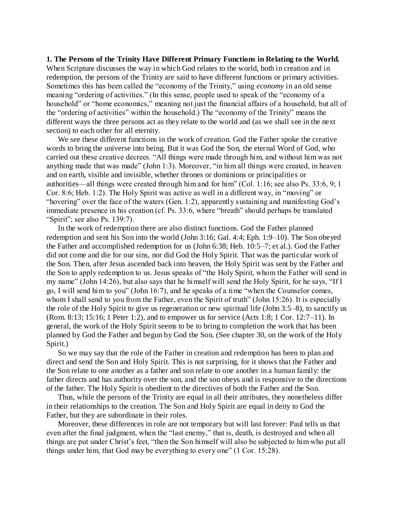**1. The Persons of the Trinity Have Different Primary Functions in Relating to the World.** When Scripture discusses the way in which God relates to the world, both in creation and in redemption, the persons of the Trinity are said to have different functions or primary activities. Sometimes this has been called the "economy of the Trinity," using *economy* in an old sense meaning "ordering of activities." (In this sense, people used to speak of the "economy of a household" or "home economics," meaning not just the financial affairs of a household, but all of the "ordering of activities" within the household.) The "economy of the Trinity" means the different ways the three persons act as they relate to the world and (as we shall see in the next section) to each other for all eternity.

We see these different functions in the work of creation. God the Father spoke the creative words to bring the universe into being. But it was God the Son, the eternal Word of God, who carried out these creative decrees. "All things were made through him, and without him was not anything made that was made" (John 1:3). Moreover, "in him all things were created, in heaven and on earth, visible and invisible, whether thrones or dominions or principalities or authorities—all things were created through him and for him" (Col. 1:16; see also Ps. 33:6, 9; 1 Cor. 8:6; Heb. 1:2). The Holy Spirit was active as well in a different way, in "moving" or "hovering" over the face of the waters (Gen. 1:2), apparently sustaining and manifesting God's immediate presence in his creation (cf. Ps. 33:6, where "breath" should perhaps be translated "Spirit"; see also Ps. 139:7).

In the work of redemption there are also distinct functions. God the Father planned redemption and sent his Son into the world (John 3:16; Gal. 4:4; Eph. 1:9–10). The Son obeyed the Father and accomplished redemption for us (John 6:38; Heb. 10:5–7; et al.). God the Father did not come and die for our sins, nor did God the Holy Spirit. That was the particular work of the Son. Then, after Jesus ascended back into heaven, the Holy Spirit was sent by the Father and the Son to apply redemption to us. Jesus speaks of "the Holy Spirit, whom the Father will send in my name" (John 14:26), but also says that he himself will send the Holy Spirit, for he says, "If I go, I will send him to you" (John 16:7), and he speaks of a time "when the Counselor comes, whom I shall send to you from the Father, even the Spirit of truth" (John 15:26). It is especially the role of the Holy Spirit to give us regeneration or new spiritual life (John 3:5–8), to sanctify us (Rom. 8:13; 15:16; 1 Peter 1:2), and to empower us for service (Acts 1:8; 1 Cor. 12:7–11). In general, the work of the Holy Spirit seems to be to bring to completion the work that has been planned by God the Father and begun by God the Son. (See chapter 30, on the work of the Holy Spirit.)

So we may say that the role of the Father in creation and redemption has been to plan and direct and send the Son and Holy Spirit. This is not surprising, for it shows that the Father and the Son relate to one another as a father and son relate to one another in a human family: the father directs and has authority over the son, and the son obeys and is responsive to the directions of the father. The Holy Spirit is obedient to the directives of both the Father and the Son.

Thus, while the persons of the Trinity are equal in all their attributes, they nonetheless differ in their relationships to the creation. The Son and Holy Spirit are equal in deity to God the Father, but they are subordinate in their roles.

Moreover, these differences in role are not temporary but will last forever: Paul tells us that even after the final judgment, when the "last enemy," that is, death, is destroyed and when all things are put under Christ's feet, "then the Son himself will also be subjected to him who put all things under him, that God may be everything to every one" (1 Cor. 15:28).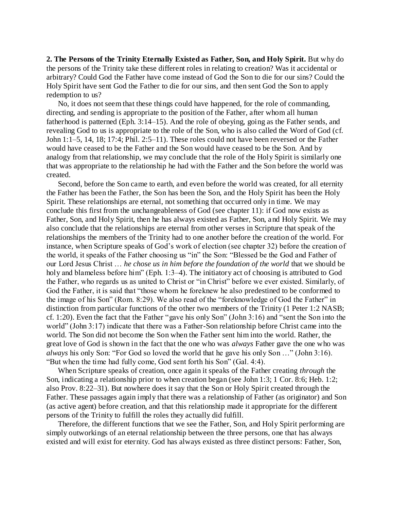**2. The Persons of the Trinity Eternally Existed as Father, Son, and Holy Spirit.** But why do the persons of the Trinity take these different roles in relating to creation? Was it accidental or arbitrary? Could God the Father have come instead of God the Son to die for our sins? Could the Holy Spirit have sent God the Father to die for our sins, and then sent God the Son to apply redemption to us?

No, it does not seem that these things could have happened, for the role of commanding, directing, and sending is appropriate to the position of the Father, after whom all human fatherhood is patterned (Eph. 3:14–15). And the role of obeying, going as the Father sends, and revealing God to us is appropriate to the role of the Son, who is also called the Word of God (cf. John 1:1–5, 14, 18; 17:4; Phil. 2:5–11). These roles could not have been reversed or the Father would have ceased to be the Father and the Son would have ceased to be the Son. And by analogy from that relationship, we may conclude that the role of the Holy Spirit is similarly one that was appropriate to the relationship he had with the Father and the Son before the world was created.

Second, before the Son came to earth, and even before the world was created, for all eternity the Father has been the Father, the Son has been the Son, and the Holy Spirit has been the Holy Spirit. These relationships are eternal, not something that occurred only in time. We may conclude this first from the unchangeableness of God (see chapter 11): if God now exists as Father, Son, and Holy Spirit, then he has always existed as Father, Son, and Holy Spirit. We may also conclude that the relationships are eternal from other verses in Scripture that speak of the relationships the members of the Trinity had to one another before the creation of the world. For instance, when Scripture speaks of God's work of election (see chapter 32) before the creation of the world, it speaks of the Father choosing us "in" the Son: "Blessed be the God and Father of our Lord Jesus Christ … *he chose us in him before the foundation of the world* that we should be holy and blameless before him" (Eph. 1:3–4). The initiatory act of choosing is attributed to God the Father, who regards us as united to Christ or "in Christ" before we ever existed. Similarly, of God the Father, it is said that "those whom he foreknew he also predestined to be conformed to the image of his Son" (Rom. 8:29). We also read of the "foreknowledge of God the Father" in distinction from particular functions of the other two members of the Trinity (1 Peter 1:2 NASB; cf. 1:20). Even the fact that the Father "gave his only Son" (John 3:16) and "sent the Son into the world" (John 3:17) indicate that there was a Father-Son relationship before Christ came into the world. The Son did not become the Son when the Father sent him into the world. Rather, the great love of God is shown in the fact that the one who was *always* Father gave the one who was *always* his only Son: "For God so loved the world that he gave his only Son …" (John 3:16). "But when the time had fully come, God sent forth his Son" (Gal. 4:4).

When Scripture speaks of creation, once again it speaks of the Father creating *through* the Son, indicating a relationship prior to when creation began (see John 1:3; 1 Cor. 8:6; Heb. 1:2; also Prov. 8:22–31). But nowhere does it say that the Son or Holy Spirit created through the Father. These passages again imply that there was a relationship of Father (as originator) and Son (as active agent) before creation, and that this relationship made it appropriate for the different persons of the Trinity to fulfill the roles they actually did fulfill.

Therefore, the different functions that we see the Father, Son, and Holy Spirit performing are simply outworkings of an eternal relationship between the three persons, one that has always existed and will exist for eternity. God has always existed as three distinct persons: Father, Son,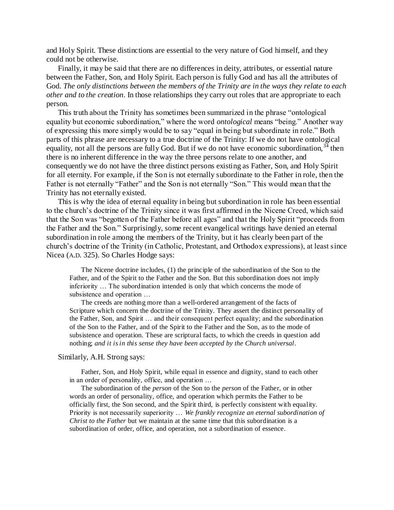and Holy Spirit. These distinctions are essential to the very nature of God himself, and they could not be otherwise.

Finally, it may be said that there are no differences in deity, attributes, or essential nature between the Father, Son, and Holy Spirit. Each person is fully God and has all the attributes of God. *The only distinctions between the members of the Trinity are in the ways they relate to each other and to the creation*. In those relationships they carry out roles that are appropriate to each person.

This truth about the Trinity has sometimes been summarized in the phrase "ontological equality but economic subordination," where the word *ontological* means "being." Another way of expressing this more simply would be to say "equal in being but subordinate in role." Both parts of this phrase are necessary to a true doctrine of the Trinity: If we do not have ontological equality, not all the persons are fully God. But if we do not have economic subordination,  $34$  then there is no inherent difference in the way the three persons relate to one another, and consequently we do not have the three distinct persons existing as Father, Son, and Holy Spirit for all eternity. For example, if the Son is not eternally subordinate to the Father in role, then the Father is not eternally "Father" and the Son is not eternally "Son." This would mean that the Trinity has not eternally existed.

This is why the idea of eternal equality in being but subordination in role has been essential to the church's doctrine of the Trinity since it was first affirmed in the Nicene Creed, which said that the Son was "begotten of the Father before all ages" and that the Holy Spirit "proceeds from the Father and the Son." Surprisingly, some recent evangelical writings have denied an eternal subordination in role among the members of the Trinity, but it has clearly been part of the church's doctrine of the Trinity (in Catholic, Protestant, and Orthodox expressions), at least since Nicea (A.D. 325). So Charles Hodge says:

The Nicene doctrine includes, (1) the principle of the subordination of the Son to the Father, and of the Spirit to the Father and the Son. But this subordination does not imply inferiority … The subordination intended is only that which concerns the mode of subsistence and operation …

The creeds are nothing more than a well-ordered arrangement of the facts of Scripture which concern the doctrine of the Trinity. They assert the distinct personality of the Father, Son, and Spirit … and their consequent perfect equality; and the subordination of the Son to the Father, and of the Spirit to the Father and the Son, as to the mode of subsistence and operation. These are scriptural facts, to which the creeds in question add nothing; *and it is in this sense they have been accepted by the Church universal*.

#### Similarly, A.H. Strong says:

Father, Son, and Holy Spirit, while equal in essence and dignity, stand to each other in an order of personality, office, and operation …

The subordination of the *person* of the Son to the *person* of the Father, or in other words an order of personality, office, and operation which permits the Father to be officially first, the Son second, and the Spirit third, is perfectly consistent with equality. Priority is not necessarily superiority … *We frankly recognize an eternal subordination of Christ to the Father* but we maintain at the same time that this subordination is a subordination of order, office, and operation, not a subordination of essence.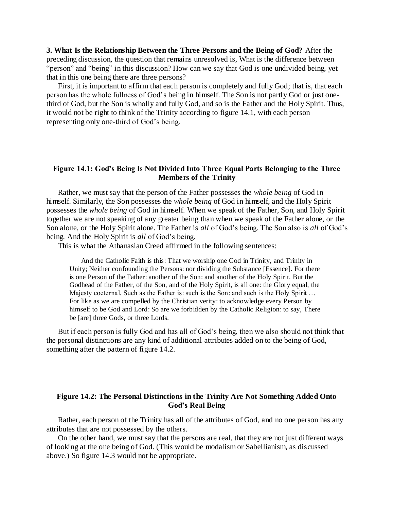**3. What Is the Relationship Between the Three Persons and the Being of God?** After the preceding discussion, the question that remains unresolved is, What is the difference between "person" and "being" in this discussion? How can we say that God is one undivided being, yet that in this one being there are three persons?

First, it is important to affirm that each person is completely and fully God; that is, that each person has the whole fullness of God's being in himself. The Son is not partly God or just onethird of God, but the Son is wholly and fully God, and so is the Father and the Holy Spirit. Thus, it would not be right to think of the Trinity according to figure 14.1, with each person representing only one-third of God's being.

#### **Figure 14.1: God's Being Is Not Divided Into Three Equal Parts Belonging to the Three Members of the Trinity**

Rather, we must say that the person of the Father possesses the *whole being* of God in himself. Similarly, the Son possesses the *whole being* of God in himself, and the Holy Spirit possesses the *whole being* of God in himself. When we speak of the Father, Son, and Holy Spirit together we are not speaking of any greater being than when we speak of the Father alone, or the Son alone, or the Holy Spirit alone. The Father is *all* of God's being. The Son also is *all* of God's being. And the Holy Spirit is *all* of God's being.

This is what the Athanasian Creed affirmed in the following sentences:

And the Catholic Faith is this: That we worship one God in Trinity, and Trinity in Unity; Neither confounding the Persons: nor dividing the Substance [Essence]. For there is one Person of the Father: another of the Son: and another of the Holy Spirit. But the Godhead of the Father, of the Son, and of the Holy Spirit, is all one: the Glory equal, the Majesty coeternal. Such as the Father is: such is the Son: and such is the Holy Spirit ... For like as we are compelled by the Christian verity: to acknowledge every Person by himself to be God and Lord: So are we forbidden by the Catholic Religion: to say, There be [are] three Gods, or three Lords.

But if each person is fully God and has all of God's being, then we also should not think that the personal distinctions are any kind of additional attributes added on to the being of God, something after the pattern of figure 14.2.

#### **Figure 14.2: The Personal Distinctions in the Trinity Are Not Something Added Onto God's Real Being**

Rather, each person of the Trinity has all of the attributes of God, and no one person has any attributes that are not possessed by the others.

On the other hand, we must say that the persons are real, that they are not just different ways of looking at the one being of God. (This would be modalism or Sabellianism, as discussed above.) So figure 14.3 would not be appropriate.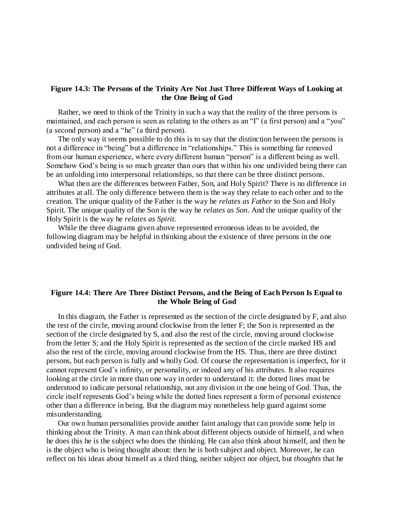#### **Figure 14.3: The Persons of the Trinity Are Not Just Three Different Ways of Looking at the One Being of God**

Rather, we need to think of the Trinity in such a way that the reality of the three persons is maintained, and each person is seen as relating to the others as an "I" (a first person) and a "you" (a second person) and a "he" (a third person).

The only way it seems possible to do this is to say that the distinction between the persons is not a difference in "being" but a difference in "relationships." This is something far removed from our human experience, where every different human "person" is a different being as well. Somehow God's being is so much greater than ours that within his one undivided being there can be an unfolding into interpersonal relationships, so that there can be three distinct persons.

What then are the differences between Father, Son, and Holy Spirit? There is no difference in attributes at all. The only difference between them is the way they relate to each other and to the creation. The unique quality of the Father is the way he *relates as Father* to the Son and Holy Spirit. The unique quality of the Son is the way he *relates as Son*. And the unique quality of the Holy Spirit is the way he *relates as Spirit*.

While the three diagrams given above represented erroneous ideas to be avoided, the following diagram may be helpful in thinking about the existence of three persons in the one undivided being of God.

#### **Figure 14.4: There Are Three Distinct Persons, and the Being of Each Person Is Equal to the Whole Being of God**

In this diagram, the Father is represented as the section of the circle designated by F, and also the rest of the circle, moving around clockwise from the letter F; the Son is represented as the section of the circle designated by S, and also the rest of the circle, moving around clockwise from the letter S; and the Holy Spirit is represented as the section of the circle marked HS and also the rest of the circle, moving around clockwise from the HS. Thus, there are three distinct persons, but each person is fully and wholly God. Of course the representation is imperfect, for it cannot represent God's infinity, or personality, or indeed any of his attributes. It also requires looking at the circle in more than one way in order to understand it: the dotted lines must be understood to indicate personal relationship, not any division in the one being of God. Thus, the circle itself represents God's being while the dotted lines represent a form of personal existence other than a difference in being. But the diagram may nonetheless help guard against some misunderstanding.

Our own human personalities provide another faint analogy that can provide some help in thinking about the Trinity. A man can think about different objects outside of himself, a nd when he does this he is the subject who does the thinking. He can also think about himself, and then he is the object who is being thought about: then he is both subject and object. Moreover, he can reflect on his ideas about himself as a third thing, neither subject nor object, but *thoughts* that he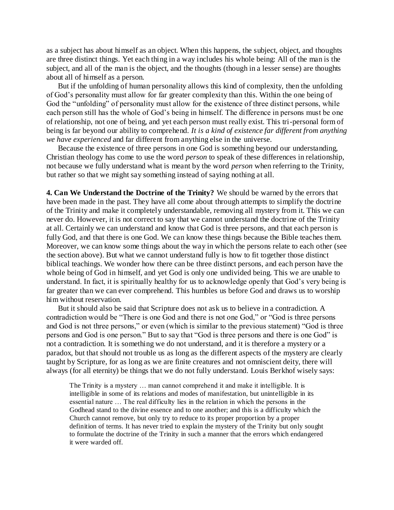as a subject has about himself as an object. When this happens, the subject, object, and thoughts are three distinct things. Yet each thing in a way includes his whole being: All of the man is the subject, and all of the man is the object, and the thoughts (though in a lesser sense) are thoughts about all of himself as a person.

But if the unfolding of human personality allows this kind of complexity, then the unfolding of God's personality must allow for far greater complexity than this. Within the one being of God the "unfolding" of personality must allow for the existence of three distinct persons, while each person still has the whole of God's being in himself. The difference in persons must be one of relationship, not one of being, and yet each person must really exist. This tri-personal form of being is far beyond our ability to comprehend. *It is a kind of existence far different from anything we have experienced* and far different from anything else in the universe.

Because the existence of three persons in one God is something beyond our understanding, Christian theology has come to use the word *person* to speak of these differences in relationship, not because we fully understand what is meant by the word *person* when referring to the Trinity, but rather so that we might say something instead of saying nothing at all.

**4. Can We Understand the Doctrine of the Trinity?** We should be warned by the errors that have been made in the past. They have all come about through attempts to simplify the doctrine of the Trinity and make it completely understandable, removing all mystery from it. This we can never do. However, it is not correct to say that we cannot understand the doctrine of the Trinity at all. Certainly we can understand and know that God is three persons, and that each person is fully God, and that there is one God. We can know these things because the Bible teaches them. Moreover, we can know some things about the way in which the persons relate to each other (see the section above). But what we cannot understand fully is how to fit together those distinct biblical teachings. We wonder how there can be three distinct persons, and each person have the whole being of God in himself, and yet God is only one undivided being. This we are unable to understand. In fact, it is spiritually healthy for us to acknowledge openly that God's very being is far greater than we can ever comprehend. This humbles us before God and draws us to worship him without reservation.

But it should also be said that Scripture does not ask us to believe in a contradiction. A contradiction would be "There is one God and there is not one God," or "God is three persons and God is not three persons," or even (which is similar to the previous statement) "God is three persons and God is one person." But to say that "God is three persons and there is one God" is not a contradiction. It is something we do not understand, and it is therefore a mystery or a paradox, but that should not trouble us as long as the different aspects of the mystery are clearly taught by Scripture, for as long as we are finite creatures and not omniscient deity, there will always (for all eternity) be things that we do not fully understand. Louis Berkhof wisely says:

The Trinity is a mystery … man cannot comprehend it and make it intelligible. It is intelligible in some of its relations and modes of manifestation, but unintelligible in its essential nature … The real difficulty lies in the relation in which the persons in the Godhead stand to the divine essence and to one another; and this is a difficulty which the Church cannot remove, but only try to reduce to its proper proportion by a proper definition of terms. It has never tried to explain the mystery of the Trinity but only sought to formulate the doctrine of the Trinity in such a manner that the errors which endangered it were warded off.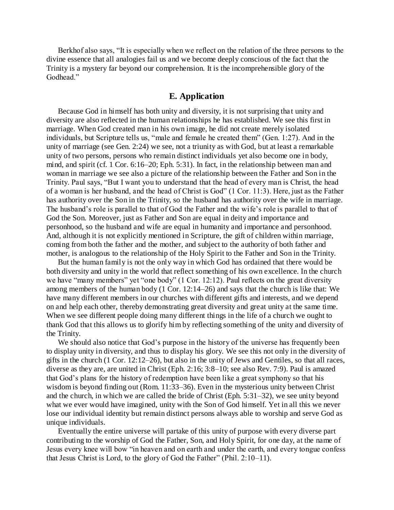Berkhof also says, "It is especially when we reflect on the relation of the three persons to the divine essence that all analogies fail us and we become deeply conscious of the fact that the Trinity is a mystery far beyond our comprehension. It is the incomprehensible glory of the Godhead<sup>"</sup>

### **E. Application**

Because God in himself has both unity and diversity, it is not surprising tha t unity and diversity are also reflected in the human relationships he has established. We see this first in marriage. When God created man in his own image, he did not create merely isolated individuals, but Scripture tells us, "male and female he created them" (Gen. 1:27). And in the unity of marriage (see Gen. 2:24) we see, not a triunity as with God, but at least a remarkable unity of two persons, persons who remain distinct individuals yet also become one in body, mind, and spirit (cf. 1 Cor. 6:16–20; Eph. 5:31). In fact, in the relationship between man and woman in marriage we see also a picture of the relationship between the Father and Son in the Trinity. Paul says, "But I want you to understand that the head of every man is Christ, the head of a woman is her husband, and the head of Christ is God" (1 Cor. 11:3). Here, just as the Father has authority over the Son in the Trinity, so the husband has authority over the wife in marriage. The husband's role is parallel to that of God the Father and the wife's role is parallel to that of God the Son. Moreover, just as Father and Son are equal in deity and importance and personhood, so the husband and wife are equal in humanity and importance and personhood. And, although it is not explicitly mentioned in Scripture, the gift of children within marriage, coming from both the father and the mother, and subject to the authority of both father and mother, is analogous to the relationship of the Holy Spirit to the Father and Son in the Trinity.

But the human family is not the only way in which God has ordained that there would be both diversity and unity in the world that reflect something of his own excellence. In the church we have "many members" yet "one body" (1 Cor. 12:12). Paul reflects on the great diversity among members of the human body (1 Cor. 12:14–26) and says that the church is like that: We have many different members in our churches with different gifts and interests, and we depend on and help each other, thereby demonstrating great diversity and great unity at the same time. When we see different people doing many different things in the life of a church we ought to thank God that this allows us to glorify him by reflecting something of the unity and diversity of the Trinity.

We should also notice that God's purpose in the history of the universe has frequently been to display unity in diversity, and thus to display his glory. We see this not only in the diversity of gifts in the church (1 Cor. 12:12–26), but also in the unity of Jews and Gentiles, so that all races, diverse as they are, are united in Christ (Eph. 2:16; 3:8–10; see also Rev. 7:9). Paul is amazed that God's plans for the history of redemption have been like a great symphony so that his wisdom is beyond finding out (Rom. 11:33–36). Even in the mysterious unity between Christ and the church, in which we are called the bride of Christ (Eph. 5:31–32), we see unity beyond what we ever would have imagined, unity with the Son of God himself. Yet in all this we never lose our individual identity but remain distinct persons always able to worship and serve God as unique individuals.

Eventually the entire universe will partake of this unity of purpose with every diverse part contributing to the worship of God the Father, Son, and Holy Spirit, for one day, at the name of Jesus every knee will bow "in heaven and on earth and under the earth, and every tongue confess that Jesus Christ is Lord, to the glory of God the Father" (Phil. 2:10–11).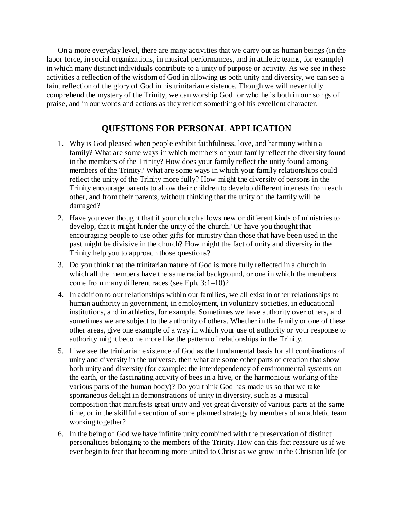On a more everyday level, there are many activities that we carry out as human beings (in the labor force, in social organizations, in musical performances, and in athletic teams, for example) in which many distinct individuals contribute to a unity of purpose or activity. As we see in these activities a reflection of the wisdom of God in allowing us both unity and diversity, we can see a faint reflection of the glory of God in his trinitarian existence. Though we will never fully comprehend the mystery of the Trinity, we can worship God for who he is both in our songs of praise, and in our words and actions as they reflect something of his excellent character.

# **QUESTIONS FOR PERSONAL APPLICATION**

- 1. Why is God pleased when people exhibit faithfulness, love, and harmony within a family? What are some ways in which members of your family reflect the diversity found in the members of the Trinity? How does your family reflect the unity found among members of the Trinity? What are some ways in which your family relationships could reflect the unity of the Trinity more fully? How might the diversity of persons in the Trinity encourage parents to allow their children to develop different interests from each other, and from their parents, without thinking that the unity of the family will be damaged?
- 2. Have you ever thought that if your church allows new or different kinds of ministries to develop, that it might hinder the unity of the church? Or have you thought that encouraging people to use other gifts for ministry than those that have been used in the past might be divisive in the church? How might the fact of unity and diversity in the Trinity help you to approach those questions?
- 3. Do you think that the trinitarian nature of God is more fully reflected in a church in which all the members have the same racial background, or one in which the members come from many different races (see Eph. 3:1–10)?
- 4. In addition to our relationships within our families, we all exist in other relationships to human authority in government, in employment, in voluntary societies, in educational institutions, and in athletics, for example. Sometimes we have authority over others, and sometimes we are subject to the authority of others. Whether in the family or one of these other areas, give one example of a way in which your use of authority or your response to authority might become more like the pattern of relationships in the Trinity.
- 5. If we see the trinitarian existence of God as the fundamental basis for all combinations of unity and diversity in the universe, then what are some other parts of creation that show both unity and diversity (for example: the interdependency of environmental systems on the earth, or the fascinating activity of bees in a hive, or the harmonious working of the various parts of the human body)? Do you think God has made us so that we take spontaneous delight in demonstrations of unity in diversity, such as a musical composition that manifests great unity and yet great diversity of various parts at the same time, or in the skillful execution of some planned strategy by members of an athletic team working together?
- 6. In the being of God we have infinite unity combined with the preservation of distinct personalities belonging to the members of the Trinity. How can this fact reassure us if we ever begin to fear that becoming more united to Christ as we grow in the Christian life (or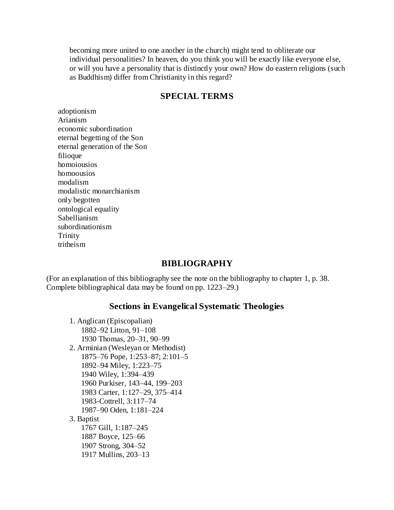becoming more united to one another in the church) might tend to obliterate our individual personalities? In heaven, do you think you will be exactly like everyone else, or will you have a personality that is distinctly your own? How do eastern religions (such as Buddhism) differ from Christianity in this regard?

# **SPECIAL TERMS**

adoptionism Arianism economic subordination eternal begetting of the Son eternal generation of the Son filioque homoiousios homoousios modalism modalistic monarchianism only begotten ontological equality Sabellianism subordinationism Trinity tritheism

# **BIBLIOGRAPHY**

(For an explanation of this bibliography see the note on the bibliography to chapter 1, p. 38. Complete bibliographical data may be found on pp. 1223–29.)

# **Sections in Evangelical Systematic Theologies**

1. Anglican (Episcopalian) 1882–92 Litton, 91–108 1930 Thomas, 20–31, 90–99 2. Arminian (Wesleyan or Methodist) 1875–76 Pope, 1:253–87; 2:101–5 1892–94 Miley, 1:223–75 1940 Wiley, 1:394–439 1960 Purkiser, 143–44, 199–203 1983 Carter, 1:127–29, 375–414 1983-Cottrell, 3:117–74 1987–90 Oden, 1:181–224 3. Baptist 1767 Gill, 1:187–245 1887 Boyce, 125–66 1907 Strong, 304–52 1917 Mullins, 203–13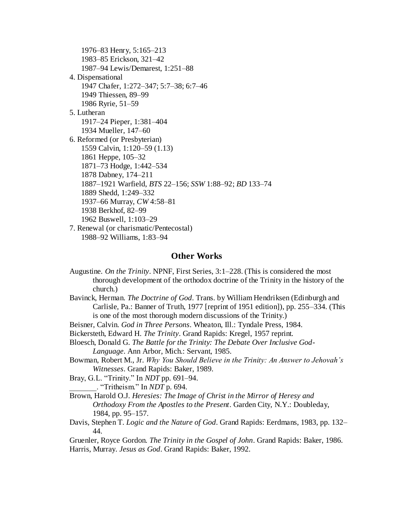1976–83 Henry, 5:165–213 1983–85 Erickson, 321–42 1987–94 Lewis/Demarest, 1:251–88 4. Dispensational 1947 Chafer, 1:272–347; 5:7–38; 6:7–46 1949 Thiessen, 89–99 1986 Ryrie, 51–59 5. Lutheran 1917–24 Pieper, 1:381–404 1934 Mueller, 147–60 6. Reformed (or Presbyterian) 1559 Calvin, 1:120–59 (1.13) 1861 Heppe, 105–32 1871–73 Hodge, 1:442–534 1878 Dabney, 174–211 1887–1921 Warfield, *BTS* 22–156; *SSW* 1:88–92; *BD* 133–74 1889 Shedd, 1:249–332 1937–66 Murray, *CW* 4:58–81 1938 Berkhof, 82–99 1962 Buswell, 1:103–29 7. Renewal (or charismatic/Pentecostal) 1988–92 Williams, 1:83–94

### **Other Works**

- Augustine. *On the Trinity*. NPNF, First Series, 3:1–228. (This is considered the most thorough development of the orthodox doctrine of the Trinity in the history of the church.)
- Bavinck, Herman. *The Doctrine of God*. Trans. by William Hendriksen (Edinburgh and Carlisle, Pa.: Banner of Truth, 1977 [reprint of 1951 edition]), pp. 255–334. (This is one of the most thorough modern discussions of the Trinity.)
- Beisner, Calvin. *God in Three Persons*. Wheaton, Ill.: Tyndale Press, 1984.
- Bickersteth, Edward H. *The Trinity*. Grand Rapids: Kregel, 1957 reprint.
- Bloesch, Donald G. *The Battle for the Trinity: The Debate Over Inclusive God-Language*. Ann Arbor, Mich.: Servant, 1985.
- Bowman, Robert M., Jr. *Why You Should Believe in the Trinity: An Answer to Jehovah's Witnesses*. Grand Rapids: Baker, 1989.
- Bray, G.L. "Trinity." In *NDT* pp. 691–94.

\_\_\_\_\_\_\_. "Tritheism." In *NDT* p. 694.

- Brown, Harold O.J. *Heresies: The Image of Christ in the Mirror of Heresy and Orthodoxy From the Apostles to the Present*. Garden City, N.Y.: Doubleday, 1984, pp. 95–157.
- Davis, Stephen T. *Logic and the Nature of God*. Grand Rapids: Eerdmans, 1983, pp. 132– 44.

Gruenler, Royce Gordon. *The Trinity in the Gospel of John*. Grand Rapids: Baker, 1986. Harris, Murray. *Jesus as God*. Grand Rapids: Baker, 1992.